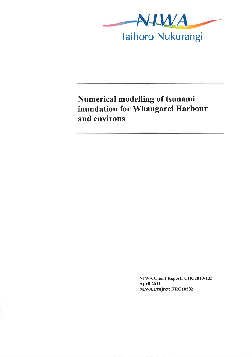

# Numerical modelling of tsunami inundation for Whangarei Harbour and environs

NIWA Client Report: CHC2010-133 April2011 NIWA Project: NRC10502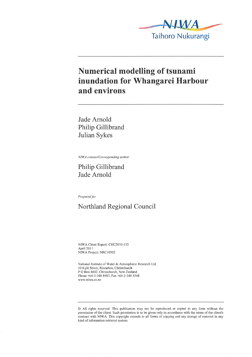

#### Numerical modelling of tsunami inundation for Whangarei Harbour and environs

Jade Arnold Philip Gillibrand Julian Sykes

NIWA contact/Corresponding author

Philip Gillibrand Jade Arnold

Prepared þr

Northland Regional Council

NIWA Client Report: CHC2010-133 April 201 I NIWA Project: NRC 10502

National Institute of Water & Atmospheric Research Ltd 10 Kyle Street, Riccarton, Christchurch P O Box 8602, Christchurch, New Zealand Phone +64-3-348 8987, Fax +64-3-348 5548 www.niwa.co.nz

<sup>@</sup> All rights reserved. This publication rnay ûot be reproduced or copied in any fonn without the permission of the client. Such permission is to be given only in accordance with the terms of the client's contract with NIWA. This copyright extends to all fonns of copying and any storage of rnaterial in any kind of information retrieval system.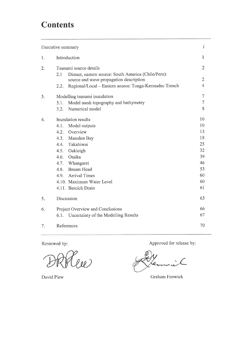# **Contents**

| Executive summary |                                                                                       | i              |
|-------------------|---------------------------------------------------------------------------------------|----------------|
| 1.                | Introduction                                                                          | 1              |
| 2.                | Tsunami source details<br>Distant, eastern source: South America (Chile/Peru):<br>2.1 | $\overline{c}$ |
|                   | source and wave propagation description                                               | 2              |
|                   | Regional/Local - Eastern source: Tonga-Kermadec Trench<br>2.2.                        | $\overline{4}$ |
| 3.                | Modelling tsunami inundation                                                          | 7              |
|                   | Model mesh topography and bathymetry<br>3.1.                                          | 7              |
|                   | Numerical model<br>3.2.                                                               | 8              |
| 4.                | Inundation results                                                                    | 10             |
|                   | Model outputs<br>4.1.                                                                 | 10             |
|                   | Overview<br>4.2.                                                                      | 13             |
|                   | 4.3.<br>Marsden Bay                                                                   | 18             |
|                   | Takahiwai<br>4.4.                                                                     | 25             |
|                   | 4.5.<br>Oakleigh                                                                      | 32             |
|                   | Otaika<br>4.6.                                                                        | 39             |
|                   | 4.7.<br>Whangarei                                                                     | 46             |
|                   | Bream Head<br>4.8.                                                                    | 53             |
|                   | 4.9. Arrival Times                                                                    | 60             |
|                   | 4.10. Maximum Water Level                                                             | 60             |
|                   | 4.11. Bercich Drain                                                                   | 61             |
| 5.                | Discussion                                                                            | 63             |
| 6.                | Project Overview and Conclusions                                                      | 66             |
|                   | Uncertainty of the Modelling Results<br>6.1.                                          | 67             |
| 7.                | References                                                                            | 70             |

Reviewed by:

s<br>lil

Approved for release by:

o

David Plew Graham Fenwick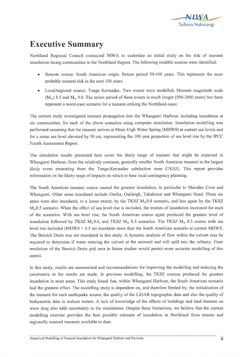

# Executive Summary

Northland Regional Council contracted NIWA to undertake an initial study on the risk of tsunami inundation facing communities in the Northland Region. The following credible sources were identified:

- Remote source: South American origin. Return period 50-100 years. This represents the most ۰ probable tsunami risk in the next 100 years.
- Local/regional source: Tonga Kermadec. Two events were modelled, Moment magnitude scale  $(M<sub>w</sub>)$  8.5 and  $M<sub>w</sub>$  9.0. The return period of these events is much longer (500-2000 years) but these represent a worst-case scenario for a tsunami striking the Northland coast.

The current study investigated tsunami propagation into the Whangarei Harbour, including inundation at six communities, for each of the above scenarios using computer simulation. Inundation modelling was performed assurning that the tsunarni arrives at Mean High Water Spring (MHWS) at current sea levels and for a mean sea level elevated by 50 cm, representing the 100 year projection of sea level rise by the IPCC Fourth Assessment Report.

The simulation results presented here cover the likely range of tsunami that might be expected in Whangarei Harbour, from the relatively common, generally smaller South American tsunami to the largest likely event emanating from the Tonga-Kennadec subduction zone (TKSZ). This report provides infonnation on the likely range of impacts on which to base local contingency planning.

The South American tsunami source caused the greatest inundation, in particular to Marsden Cove and Whangarei. Other areas inundated include Otaika, Oakleigh, Takahiwai and Whangarei Head. These six areas were also inundated, to a lesser extent, by the TKSZ  $M_w9.0$  scenario, and less again by the TKSZ  $M<sub>w</sub>8.5$  scenario. When the effect of sea level rise is included, the extents of inundation increased for each of the scenarios. With sea level rise, the South American source again produced the greatest level of inundation followed by TKSZ  $M_w$ 9.0, and TKSZ  $M_w$  8.5 scenarios. The TKSZ  $M_w$  8.5 source with sea level rise included (MHWS + 0.5 m) inundates more than the South American scenario at current MHWS. The Bercich Drain was not inundated in this study. A dynamic analysis of flow within the culvert may be required to detennine if water entering the culvert at the seaward end will spill into the refinery. Finer resolution of the Bercich Drain grid area in future studies would permit more accurate modelling of this aspect.

In this study, results are sumrnarised and recommendations for improving the modelling and reducing the uncertainty in the results are made. In previous rnodelling, the TKSZ sources produced the greatest inundation in most areas. This study found that, within Whangarei Harbour, the South American scenario had the greatest effect. The modelling study is dependent on, and therefore limited by, the initialisation of the tsunami for each earthquake source, the quality of the LiDAR topographic data and also the quality of bathymetric data in inshore waters. A lack of knowledge of the effects of buildings and land features on wave drag also adds uncertainty to the simulations. Despite these limitations, we believe that the current modelling exercise provides the best possible estimate of inundation in Northland from rernote and regionally sourced tsunamis available to date.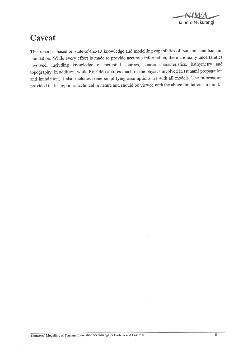

#### Caveat

This report is based on state-of-the-art knowledge and modelling capabilities of tsunamis and tsunami inundation. While every effort is made to provide accurate information, there are many uncertainties involved, including knowledge of potential soutces, source characteristics, bathymetry and topography. In addition, while RiCOM captures much of the physics involved in tsunami propagation and inundation, it also includes some simplifying assumptions, as with all models. The information provided in this report is technical in nature and should be viewed with the above limitations in mind.